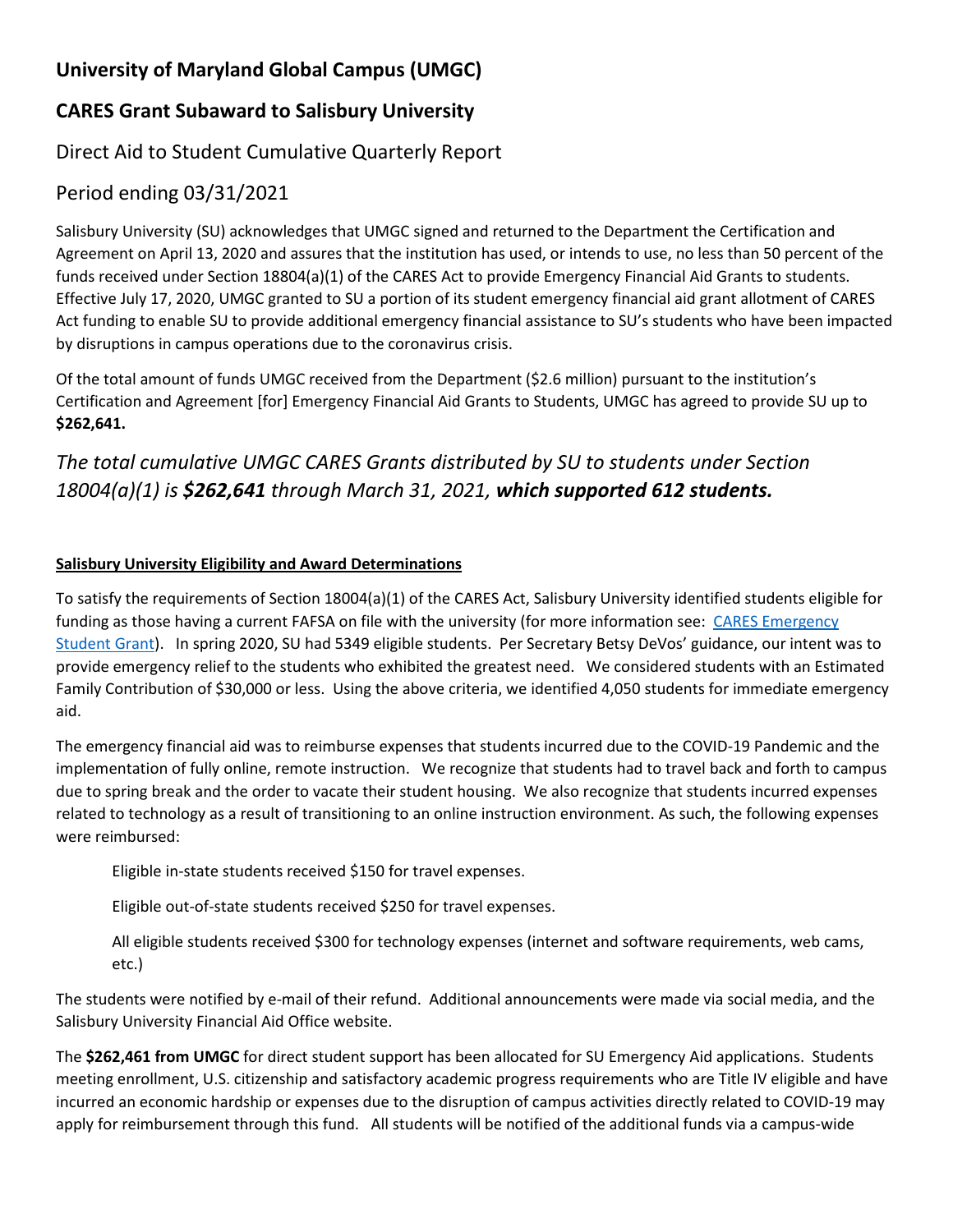# **University of Maryland Global Campus (UMGC)**

## **CARES Grant Subaward to Salisbury University**

### Direct Aid to Student Cumulative Quarterly Report

#### Period ending 03/31/2021

Salisbury University (SU) acknowledges that UMGC signed and returned to the Department the Certification and Agreement on April 13, 2020 and assures that the institution has used, or intends to use, no less than 50 percent of the funds received under Section 18804(a)(1) of the CARES Act to provide Emergency Financial Aid Grants to students. Effective July 17, 2020, UMGC granted to SU a portion of its student emergency financial aid grant allotment of CARES Act funding to enable SU to provide additional emergency financial assistance to SU's students who have been impacted by disruptions in campus operations due to the coronavirus crisis.

Of the total amount of funds UMGC received from the Department (\$2.6 million) pursuant to the institution's Certification and Agreement [for] Emergency Financial Aid Grants to Students, UMGC has agreed to provide SU up to **\$262,641.**

# *The total cumulative UMGC CARES Grants distributed by SU to students under Section 18004(a)(1) is \$262,641 through March 31, 2021, which supported 612 students.*

#### **Salisbury University Eligibility and Award Determinations**

To satisfy the requirements of Section 18004(a)(1) of the CARES Act, Salisbury University identified students eligible for funding as those having a current FAFSA on file with the university (for more information see: [CARES Emergency](https://www.salisbury.edu/admissions/financial-aid/cares-emergency.aspx)  [Student Grant\)](https://www.salisbury.edu/admissions/financial-aid/cares-emergency.aspx). In spring 2020, SU had 5349 eligible students. Per Secretary Betsy DeVos' guidance, our intent was to provide emergency relief to the students who exhibited the greatest need. We considered students with an Estimated Family Contribution of \$30,000 or less. Using the above criteria, we identified 4,050 students for immediate emergency aid.

The emergency financial aid was to reimburse expenses that students incurred due to the COVID-19 Pandemic and the implementation of fully online, remote instruction. We recognize that students had to travel back and forth to campus due to spring break and the order to vacate their student housing. We also recognize that students incurred expenses related to technology as a result of transitioning to an online instruction environment. As such, the following expenses were reimbursed:

Eligible in-state students received \$150 for travel expenses.

Eligible out-of-state students received \$250 for travel expenses.

All eligible students received \$300 for technology expenses (internet and software requirements, web cams, etc.)

The students were notified by e-mail of their refund. Additional announcements were made via social media, and the Salisbury University Financial Aid Office website.

The **\$262,461 from UMGC** for direct student support has been allocated for SU Emergency Aid applications. Students meeting enrollment, U.S. citizenship and satisfactory academic progress requirements who are Title IV eligible and have incurred an economic hardship or expenses due to the disruption of campus activities directly related to COVID-19 may apply for reimbursement through this fund. All students will be notified of the additional funds via a campus-wide